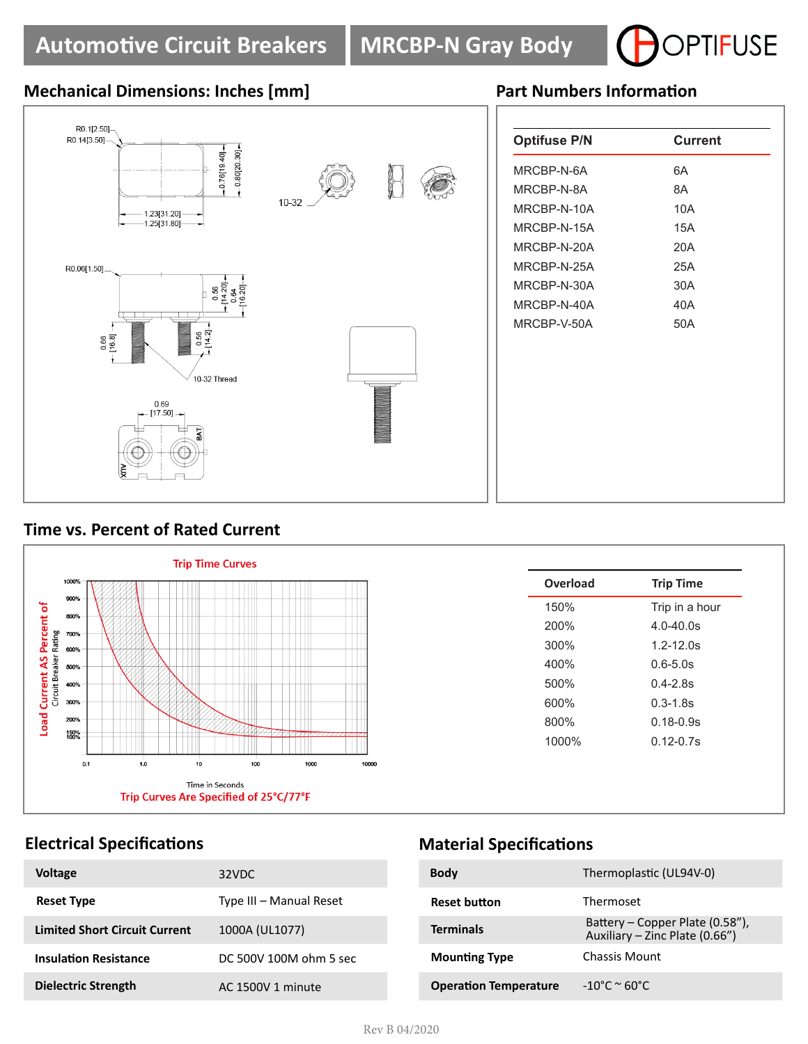

# **Mechanical Dimensions: Inches [mm] Part Numbers Information**



| 6A<br>8A<br>10A<br>15A<br>20A<br>25A<br>30A<br>40A | <b>Optifuse P/N</b> | <b>Current</b> |
|----------------------------------------------------|---------------------|----------------|
|                                                    | MRCBP-N-6A          |                |
|                                                    | MRCBP-N-8A          |                |
|                                                    | MRCBP-N-10A         |                |
|                                                    | MRCBP-N-15A         |                |
|                                                    | MRCBP-N-20A         |                |
|                                                    | MRCBP-N-25A         |                |
|                                                    | MRCBP-N-30A         |                |
|                                                    | MRCBP-N-40A         |                |
| 50A                                                | MRCBP-V-50A         |                |
|                                                    |                     |                |
|                                                    |                     |                |
|                                                    |                     |                |
|                                                    |                     |                |
|                                                    |                     |                |

# **Time vs. Percent of Rated Current**



| 150%<br>Trip in a hour<br>200%<br>$4.0 - 40.0$ s<br>300%<br>$1.2 - 12.0s$<br>400%<br>$0.6 - 5.0s$<br>500%<br>$0.4 - 2.8s$<br>600%<br>$0.3 - 1.8s$<br>800%<br>$0.18 - 0.9s$<br>1000%<br>$0.12 - 0.7s$ |  |
|------------------------------------------------------------------------------------------------------------------------------------------------------------------------------------------------------|--|
|                                                                                                                                                                                                      |  |
|                                                                                                                                                                                                      |  |
|                                                                                                                                                                                                      |  |
|                                                                                                                                                                                                      |  |
|                                                                                                                                                                                                      |  |
|                                                                                                                                                                                                      |  |
|                                                                                                                                                                                                      |  |
|                                                                                                                                                                                                      |  |
|                                                                                                                                                                                                      |  |
|                                                                                                                                                                                                      |  |

## **Electrical Specifications**

| <b>Voltage</b>                       | 32VDC                   |
|--------------------------------------|-------------------------|
| <b>Reset Type</b>                    | Type III - Manual Reset |
| <b>Limited Short Circuit Current</b> | 1000A (UL1077)          |
| <b>Insulation Resistance</b>         | DC 500V 100M ohm 5 sec  |
| Dielectric Strength                  | AC 1500V 1 minute       |

## **Material Specifications**

| <b>Body</b>                  | Thermoplastic (UL94V-0)                                           |
|------------------------------|-------------------------------------------------------------------|
| <b>Reset button</b>          | Thermoset                                                         |
| <b>Terminals</b>             | Battery – Copper Plate (0.58"),<br>Auxiliary - Zinc Plate (0.66") |
| <b>Mounting Type</b>         | Chassis Mount                                                     |
| <b>Operation Temperature</b> | $-10^{\circ}$ C ~ 60°C.                                           |